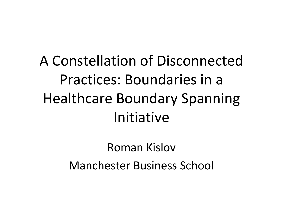#### A Constellation of Disconnected Practices: Boundaries in a Healthcare Boundary Spanning Initiative

Roman Kislov Manchester Business School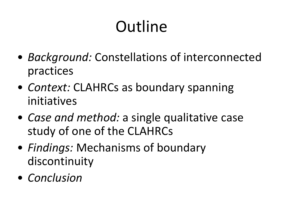# **Outline**

- *Background:* Constellations of interconnected practices
- *Context:* CLAHRCs as boundary spanning initiatives
- *Case and method:* a single qualitative case study of one of the CLAHRCs
- *Findings:* Mechanisms of boundary discontinuity
- *Conclusion*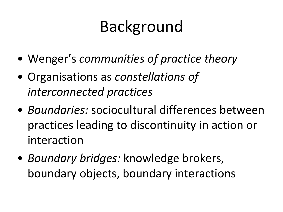### Background

- Wenger's *communities of practice theory*
- Organisations as *constellations of interconnected practices*
- *Boundaries:* sociocultural differences between practices leading to discontinuity in action or interaction
- *Boundary bridges:* knowledge brokers, boundary objects, boundary interactions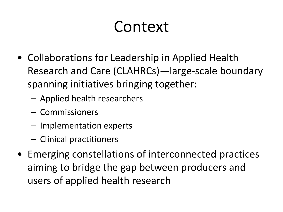#### Context

- Collaborations for Leadership in Applied Health Research and Care (CLAHRCs)—large-scale boundary spanning initiatives bringing together:
	- Applied health researchers
	- Commissioners
	- Implementation experts
	- Clinical practitioners
- Emerging constellations of interconnected practices aiming to bridge the gap between producers and users of applied health research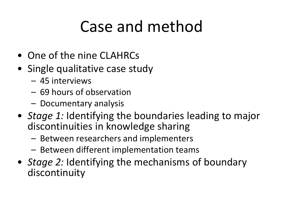#### Case and method

- One of the nine CLAHRCs
- Single qualitative case study
	- 45 interviews
	- 69 hours of observation
	- Documentary analysis
- *Stage 1:* Identifying the boundaries leading to major discontinuities in knowledge sharing
	- Between researchers and implementers
	- Between different implementation teams
- *Stage 2:* Identifying the mechanisms of boundary discontinuity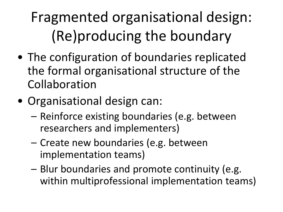Fragmented organisational design: (Re)producing the boundary

- The configuration of boundaries replicated the formal organisational structure of the Collaboration
- Organisational design can:
	- Reinforce existing boundaries (e.g. between researchers and implementers)
	- Create new boundaries (e.g. between implementation teams)
	- Blur boundaries and promote continuity (e.g. within multiprofessional implementation teams)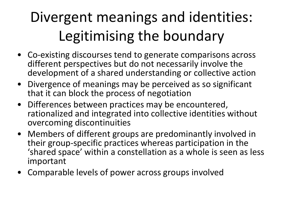#### Divergent meanings and identities: Legitimising the boundary

- Co-existing discourses tend to generate comparisons across different perspectives but do not necessarily involve the development of a shared understanding or collective action
- Divergence of meanings may be perceived as so significant that it can block the process of negotiation
- Differences between practices may be encountered, rationalized and integrated into collective identities without overcoming discontinuities
- Members of different groups are predominantly involved in their group-specific practices whereas participation in the 'shared space' within a constellation as a whole is seen as less important
- Comparable levels of power across groups involved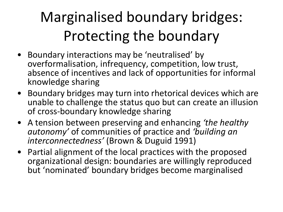#### Marginalised boundary bridges: Protecting the boundary

- Boundary interactions may be 'neutralised' by overformalisation, infrequency, competition, low trust, absence of incentives and lack of opportunities for informal knowledge sharing
- Boundary bridges may turn into rhetorical devices which are unable to challenge the status quo but can create an illusion of cross-boundary knowledge sharing
- A tension between preserving and enhancing *'the healthy autonomy'* of communities of practice and *'building an interconnectedness'* (Brown & Duguid 1991)
- Partial alignment of the local practices with the proposed organizational design: boundaries are willingly reproduced but 'nominated' boundary bridges become marginalised